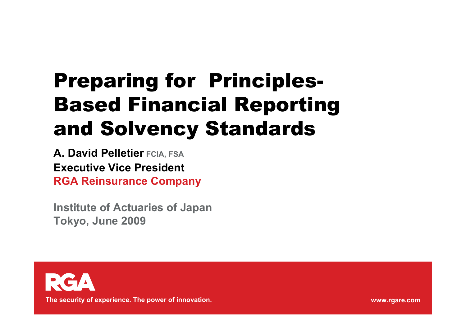## Preparing for Principles-Based Financial Reporting and Solvency Standards

**A. David Pelletier FCIA, FSA Executive Vice PresidentRGA Reinsurance Company**

**Institute of Actuaries of Japan Tokyo, June 2009**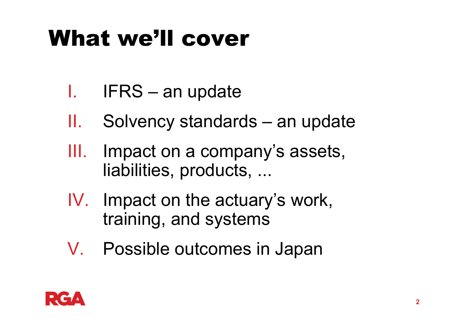## What we'll cover

- I.. IFRS – an update
- II.Solvency standards – an update
- III. Impact on a company's assets, liabilities, products, ...
- IV. Impact on the actuary's work, training, and systems
- V. Possible outcomes in Japan

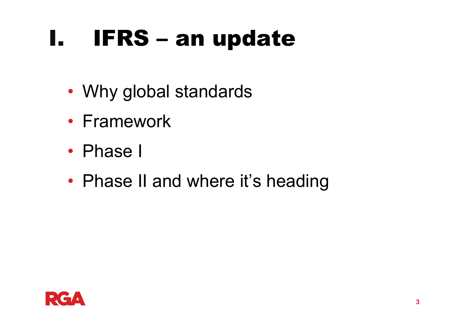#### I.IFRS – an update

- Why global standards
- Framework
- Phase I
- Phase II and where it's heading

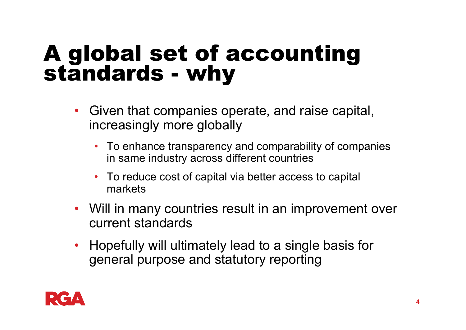# A global set of accounting standards - why

- $\bullet$  Given that companies operate, and raise capital, increasingly more globally
	- To enhance transparency and comparability of companies in same industry across different countries
	- To reduce cost of capital via better access to capital markets
- Will in many countries result in an improvement over current standards
- Hopefully will ultimately lead to a single basis for general purpose and statutory reporting

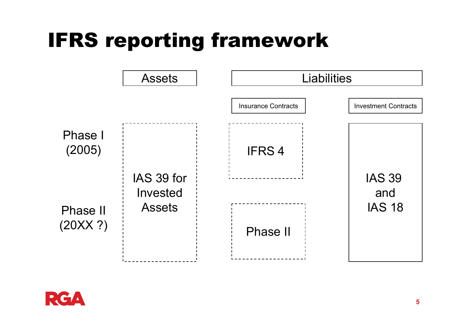## IFRS reporting framework



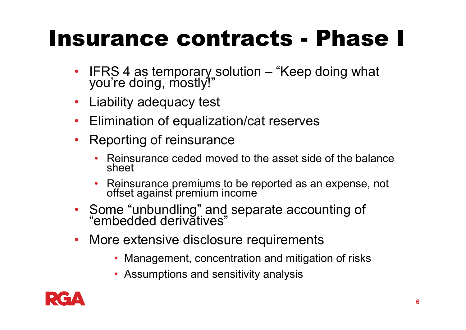## Insurance contracts - Phase I

- •IFRS 4 as temporary solution – "Keep doing what you're doing, mostly!"
- $\bullet$ Liability adequacy test
- $\bullet$ Elimination of equalization/cat reserves
- $\bullet$  Reporting of reinsurance
	- • Reinsurance ceded moved to the asset side of the balance sheet
	- •Reinsurance premiums to be reported as an expense, not offset against premium income
- Some "unbundling" and separate accounting of "embedded derivatives"
- $\bullet$  More extensive disclosure requirements
	- Management, concentration and mitigation of risks
	- Assumptions and sensitivity analysis

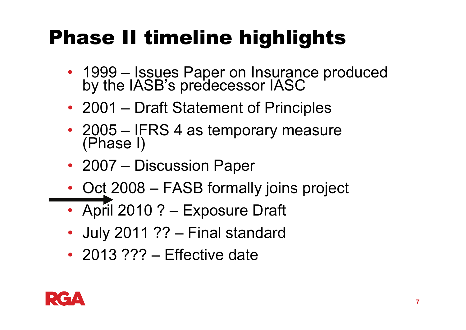## Phase II timeline highlights

- 1999 Issues Paper on Insurance produced by the IASB's predecessor IASC
- 2001 Draft Statement of Principles
- 2005 IFRS 4 as temporary measure<br>(Phase I)
- 2007 Discussion Paper
- Oct 2008 FASB formally joins project
- April 2010 ? Exposure Draft
- July 2011 ?? Final standard
- 2013 ??? Effective date

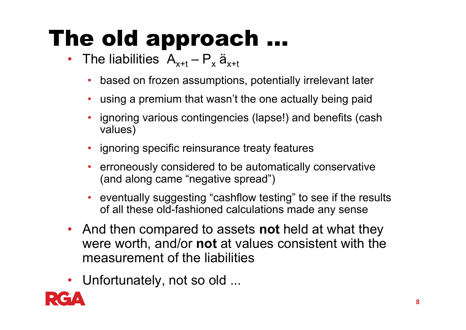## The old approach ...

- The liabilities  $A_{x+t} P_x a_{x+t}$ 
	- •based on frozen assumptions, potentially irrelevant later
	- $\bullet$ using a premium that wasn't the one actually being paid
	- • ignoring various contingencies (lapse!) and benefits (cash values)
	- ignoring specific reinsurance treaty features
	- • erroneously considered to be automatically conservative (and along came "negative spread")
	- • eventually suggesting "cashflow testing" to see if the results of all these old-fashioned calculations made any sense
- And then compared to assets **not** held at what they were worth, and/or **not** at values consistent with the measurement of the liabilities
- Unfortunately, not so old ...

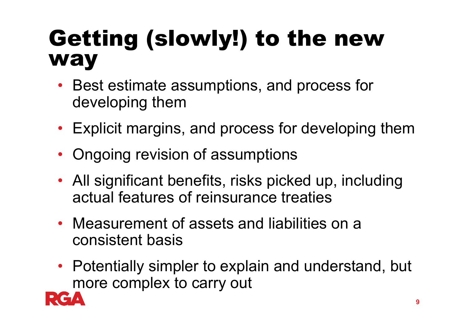## Getting (slowly!) to the new way

- Best estimate assumptions, and process for developing them
- Explicit margins, and process for developing them
- Ongoing revision of assumptions
- All significant benefits, risks picked up, including actual features of reinsurance treaties
- Measurement of assets and liabilities on a consistent basis
- Potentially simpler to explain and understand, but more complex to carry out

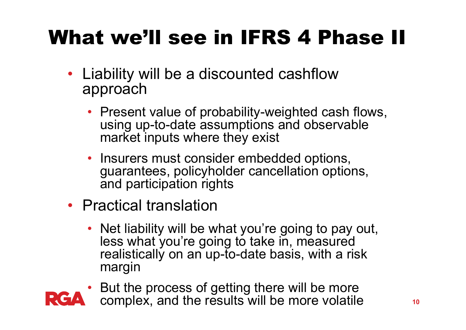## What we'll see in IFRS 4 Phase II

- Liability will be a discounted cashflow approach
	- Present value of probability-weighted cash flows, using up-to-date assumptions and observable market inputs where they exist
	- Insurers must consider embedded options, guarantees, policyholder cancellation options, and participation rights
- Practical translation
	- Net liability will be what you're going to pay out, less what you're going to take in, measured realistically on an up-to-date basis, with a risk margin
- But the process of getting there will be more complex, and the results will be more volatile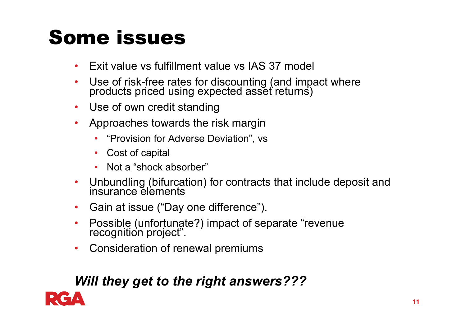## Some issues

- •Exit value vs fulfillment value vs IAS 37 model
- $\bullet$ Use of risk-free rates for discounting (and impact where products priced using expected asset returns)
- •Use of own credit standing
- $\bullet$  Approaches towards the risk margin
	- •"Provision for Adverse Deviation", vs
	- Cost of capital
	- Not a "shock absorber"
- $\bullet$ Unbundling (bifurcation) for contracts that include deposit and insurance elements
- $\bullet$ Gain at issue ("Day one difference").
- •Possible (unfortunate?) impact of separate "revenue recognition project".
- $\bullet$ Consideration of renewal premiums

#### *Will they get to the right answers???*

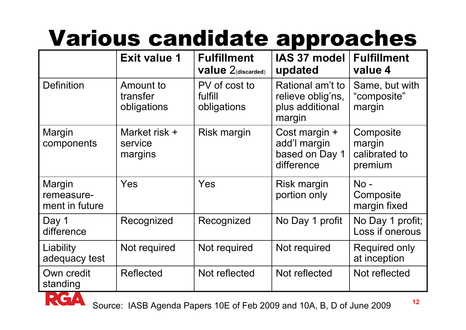## Various candidate approaches

|                                        | <b>Exit value 1</b>                  | <b>Fulfillment</b><br><b>value</b> $2$ (discarded) | IAS 37 model<br>updated                                            | <b>Fulfillment</b><br>value 4                   |
|----------------------------------------|--------------------------------------|----------------------------------------------------|--------------------------------------------------------------------|-------------------------------------------------|
| <b>Definition</b>                      | Amount to<br>transfer<br>obligations | PV of cost to<br>fulfill<br>obligations            | Rational am't to<br>relieve oblig'ns,<br>plus additional<br>margin | Same, but with<br>"composite"<br>margin         |
| Margin<br>components                   | Market risk +<br>service<br>margins  | Risk margin                                        | Cost margin +<br>add'l margin<br>based on Day 1<br>difference      | Composite<br>margin<br>calibrated to<br>premium |
| Margin<br>remeasure-<br>ment in future | Yes                                  | Yes                                                | Risk margin<br>portion only                                        | $No -$<br>Composite<br>margin fixed             |
| Day 1<br>difference                    | Recognized                           | Recognized                                         | No Day 1 profit                                                    | No Day 1 profit;<br>Loss if onerous             |
| Liability<br>adequacy test             | Not required                         | Not required                                       | Not required                                                       | Required only<br>at inception                   |
| Own credit<br>standing                 | Reflected                            | Not reflected                                      | Not reflected                                                      | Not reflected                                   |

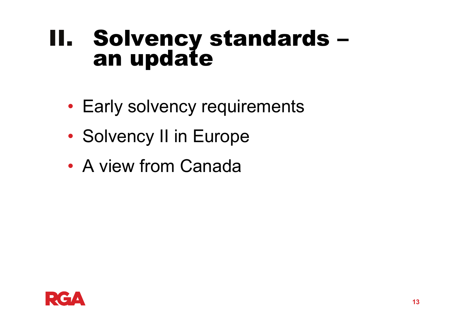# II. Solvency standards –<br>an update

- Early solvency requirements
- •• Solvency II in Europe
- A view from Canada

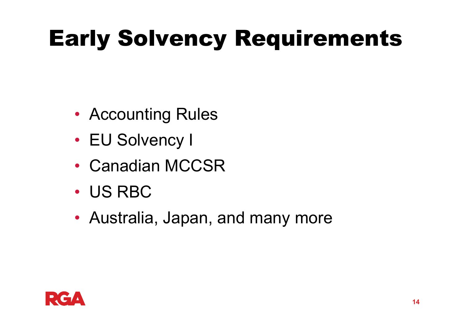## Early Solvency Requirements

- Accounting Rules
- EU Solvency I
- Canadian MCCSR
- US RBC
- Australia, Japan, and many more

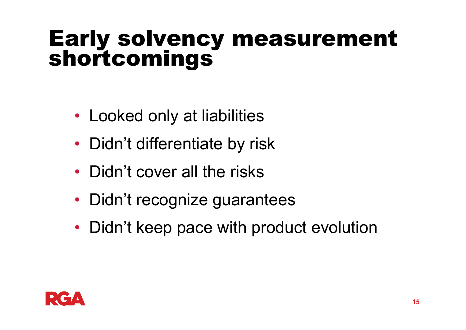# Early solvency measurement shortcomings

- Looked only at liabilities
- Didn't differentiate by risk
- Didn't cover all the risks
- Didn't recognize guarantees
- Didn't keep pace with product evolution

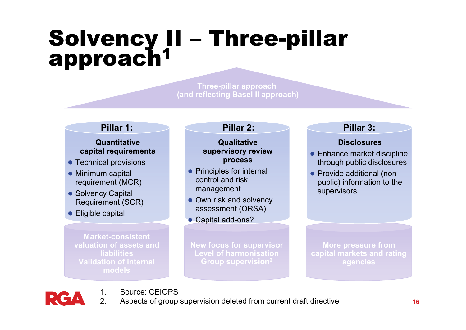### Solvency II – Three-pillar<br>approach<sup>1</sup> 1

**Three-pillar approach (and reflecting Basel II approach)**

#### **Pillar 1:**

#### **Quantitative capital requirements**

- Technical provisions
- Minimum capital requirement (MCR)
- Solvency Capital Requirement (SCR)

1.

● Eligible capital

**Market-consistent valuation of assets and liabilitiesValidation of internal models**

Source: CEIOPS

#### **Qualitative supervisory review process**

- Principles for internal control and risk management
- Own risk and solvency assessment (ORSA)
- Capital add-ons?

**New focus for supervisor Level of harmonisationGroup supervision2**

#### **Pillar 2: Pillar 3:**

#### **Disclosures**

- $\bullet$  Enhance market discipline through public disclosures
- Provide additional (nonpublic) information to the supervisors

**More pressure from capital markets and rating agencies** 

- 
- $\mathcal{P}$ Aspects of group supervision deleted from current draft directive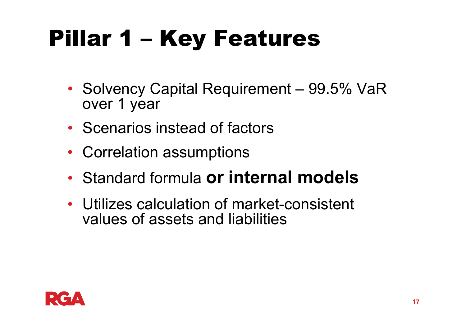## Pillar 1 – Key Features

- Solvency Capital Requirement 99.5% VaR over 1 year
- Scenarios instead of factors
- Correlation assumptions
- Standard formula **or internal models**
- Utilizes calculation of market-consistent values of assets and liabilities

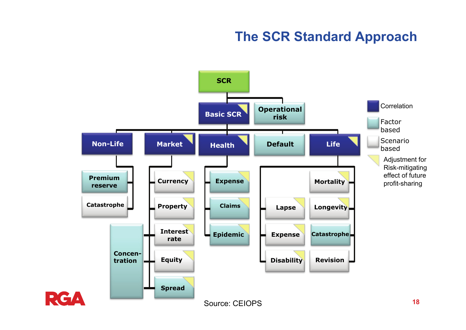#### **The SCR Standard Approach**

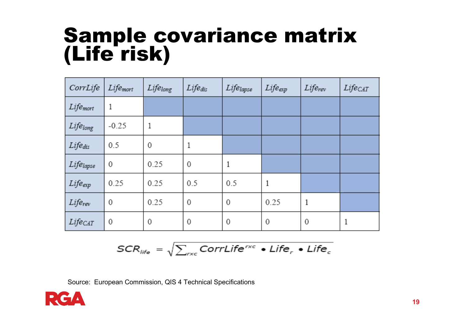## Sample covariance matrix (Life risk)

| CorrLife             | Life <sub>mort</sub> | Lifelong | $Life_{dis}$ | Lifelapse   | $Life_{exp}$ | $Life_{rev}$ | Lifecar |
|----------------------|----------------------|----------|--------------|-------------|--------------|--------------|---------|
| Life <sub>mort</sub> | 1                    |          |              |             |              |              |         |
| Lifelong             | $-0.25$              | 1        |              |             |              |              |         |
| Life <sub>dis</sub>  | 0.5                  | 0        | 1            |             |              |              |         |
| Lifelapse            | 0                    | 0.25     | 0            | 1           |              |              |         |
| Lifeexp              | 0.25                 | 0.25     | 0.5          | 0.5         | 1            |              |         |
| $Life_{rev}$         | 0                    | 0.25     | 0            | $\mathbf 0$ | 0.25         | 1            |         |
| Lifecat              | 0                    | 0        | 0            | $\mathbf 0$ | 0            | 0            |         |

$$
SCR_{life} = \sqrt{\sum_{r \times c} CorrLife^{r \times c} \cdot Life_r \cdot Life_c}
$$

Source: European Commission, QIS 4 Technical Specifications

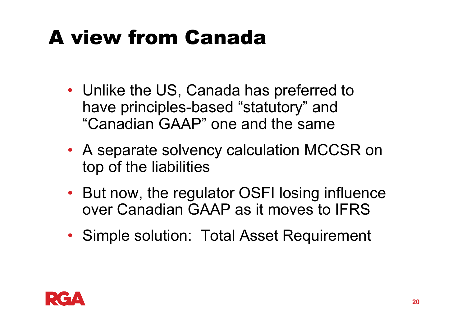## A view from Canada

- Unlike the US, Canada has preferred to have principles-based "statutory" and "Canadian GAAP" one and the same
- A separate solvency calculation MCCSR on top of the liabilities
- But now, the regulator OSFI losing influence over Canadian GAAP as it moves to IFRS
- Simple solution: Total Asset Requirement

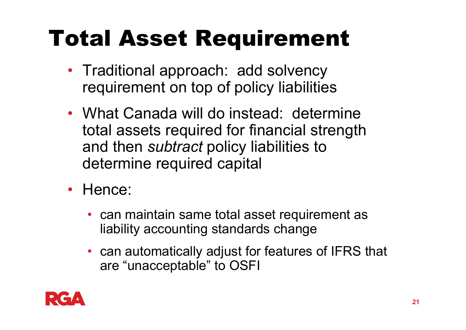## Total Asset Requirement

- Traditional approach: add solvency requirement on top of policy liabilities
- What Canada will do instead: determine total assets required for financial strength and then *subtract* policy liabilities to determine required capital
- Hence:
	- can maintain same total asset requirement as liability accounting standards change
	- can automatically adjust for features of IFRS that are "unacceptable" to OSFI

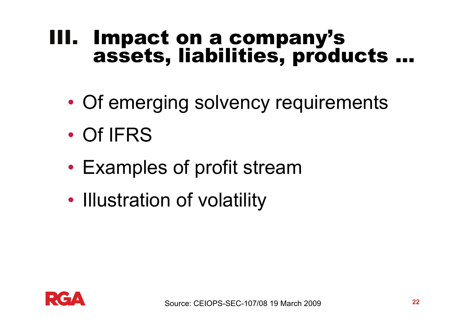## III. Impact on a company's assets, liabilities, products ...

- $\bullet$ Of emerging solvency requirements
- •Of IFRS
- •Examples of profit stream
- $\bullet$ • Illustration of volatility

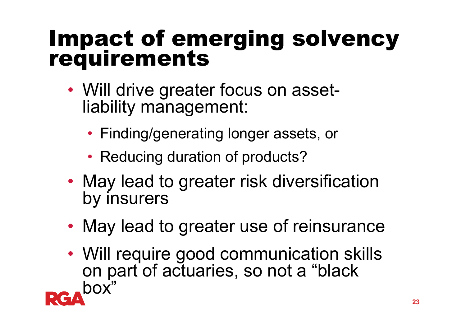# Impact of emerging solvency requirements

- • Will drive greater focus on assetliability management:
	- Finding/generating longer assets, or
	- Reducing duration of products?
- • May lead to greater risk diversification by insurers
- •May lead to greater use of reinsurance
- Will require good communication skills on part of actuaries, so not a "black box"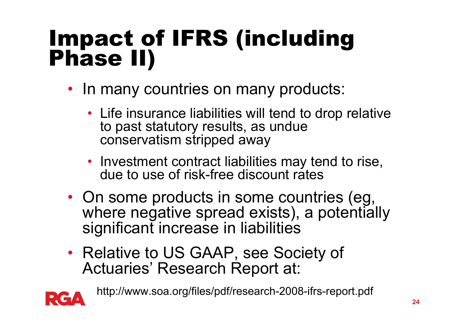# Impact of IFRS (including Phase II)

- In many countries on many products:
	- Life insurance liabilities will tend to drop relative to past statutory results, as undue conservatism stripped away
	- Investment contract liabilities may tend to rise, due to use of risk-free discount rates
- On some products in some countries (eg, where negative spread exists), a potentially significant increase in liabilities
- Relative to US GAAP, see Society of Actuaries' Research Report at:



http://www.soa.org/files/pdf/research-2008-ifrs-report.pdf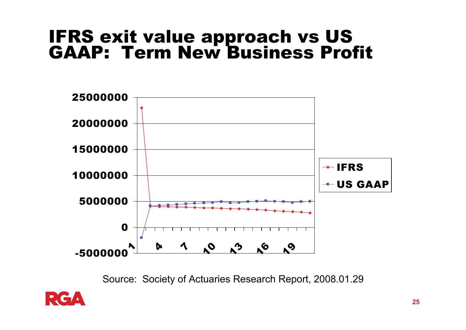## IFRS exit value approach vs US<br>GAAP: Term New Business Profit



Source: Society of Actuaries Research Report, 2008.01.29

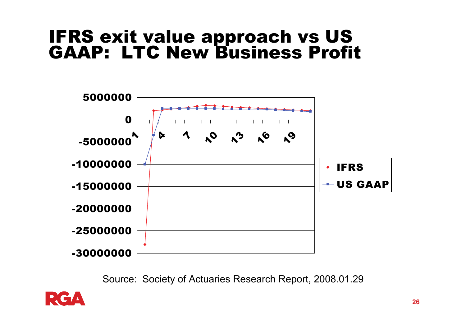## IFRS exit value approach vs US GAAP: LTC New Business Profit



Source: Society of Actuaries Research Report, 2008.01.29

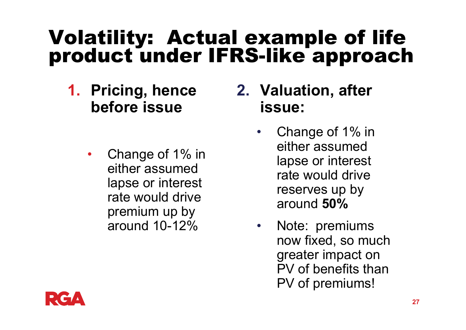## Volatility: Actual example of life product under IFRS-like approach

- **1. Pricing, hence before issue**
	- $\bullet$  Change of 1% in either assumed lapse or interest rate would drive premium up by around 10-12%
- **2. Valuation, after issue:** 
	- • Change of 1% in either assumed lapse or interest rate would drive reserves up by around **50%**
	- • Note: premiums now fixed, so much greater impact on PV of benefits than PV of premiums!

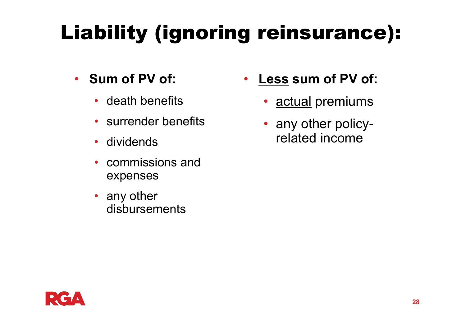## Liability (ignoring reinsurance):

- **Sum of PV of:**
	- death benefits
	- surrender benefits
	- $\bullet$ dividends
	- $\bullet$  commissions and expenses
	- any other disbursements
- • **Less sum of PV of:**
	- actual premiums
	- any other policyrelated income

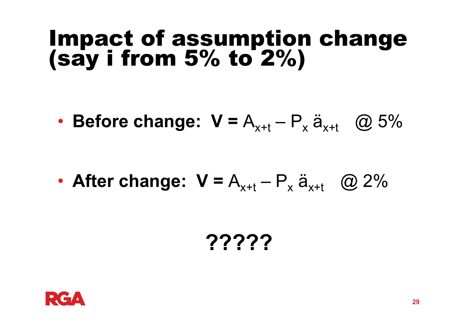# Impact of assumption change (say i from 5% to 2%)

•• Before change:  $V = A_{x+t} - P_x \ddot{a}_{x+t}$  @ 5%

•• After change:  $V = A_{x+t} - P_x \ddot{a}_{x+t}$  @ 2%

### **?????**

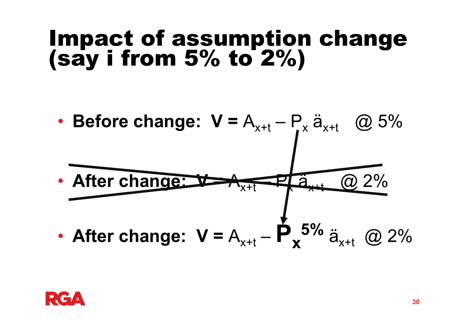# Impact of assumption change (say i from 5% to 2%)

•**Before change:**  $V = A_{x+t} - P_x \ddot{a}_{x+t}$  @ 5% •**After change: V=**  $A_{x+t}$  $\bigoplus$ x $\ddot{\mathbf{a}}_{\mathsf{t}}$  $\overline{\omega}$  2% •• After change:  $V = A_{x+t}$ – **P x5%** ä $_{\mathrm{\mathsf{x}}\text{+t}}$  (Q 2%

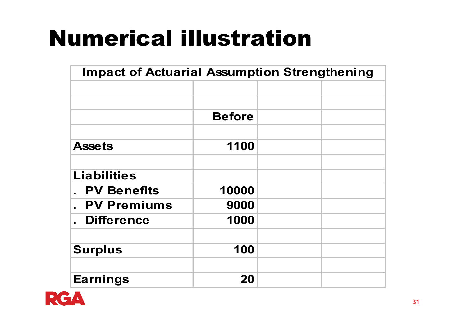## Numerical illustration

| <b>Impact of Actuarial Assumption Strengthening</b> |               |  |  |
|-----------------------------------------------------|---------------|--|--|
|                                                     |               |  |  |
|                                                     |               |  |  |
|                                                     | <b>Before</b> |  |  |
|                                                     |               |  |  |
| <b>Assets</b>                                       | 1100          |  |  |
|                                                     |               |  |  |
| <b>Liabilities</b>                                  |               |  |  |
| <b>PV Benefits</b>                                  | 10000         |  |  |
| <b>PV Premiums</b>                                  | 9000          |  |  |
| <b>Difference</b>                                   | 1000          |  |  |
|                                                     |               |  |  |
| <b>Surplus</b>                                      | 100           |  |  |
|                                                     |               |  |  |
| <b>Earnings</b>                                     | 20            |  |  |

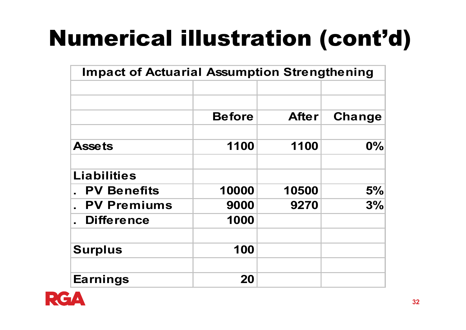## Numerical illustration (cont'd)

| <b>Impact of Actuarial Assumption Strengthening</b> |               |              |        |
|-----------------------------------------------------|---------------|--------------|--------|
|                                                     |               |              |        |
|                                                     | <b>Before</b> | <b>After</b> | Change |
| <b>Assets</b>                                       | 1100          | 1100         | 0%     |
| <b>Liabilities</b>                                  |               |              |        |
| <b>PV Benefits</b>                                  | 10000         | 10500        | 5%     |
| <b>PV Premiums</b>                                  | 9000          | 9270         | 3%     |
| <b>Difference</b>                                   | 1000          |              |        |
| <b>Surplus</b>                                      | 100           |              |        |
| <b>Earnings</b>                                     | 20            |              |        |

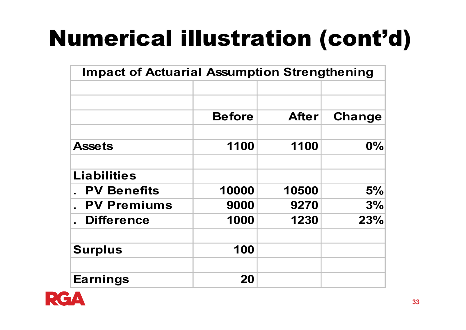## Numerical illustration (cont'd)

| <b>Impact of Actuarial Assumption Strengthening</b> |               |              |               |
|-----------------------------------------------------|---------------|--------------|---------------|
|                                                     | <b>Before</b> | <b>After</b> | <b>Change</b> |
| <b>Assets</b>                                       | 1100          | 1100         | $0\%$         |
| <b>Liabilities</b>                                  |               |              |               |
| <b>PV Benefits</b>                                  | 10000         | 10500        | 5%            |
| <b>PV Premiums</b>                                  | 9000          | 9270         | 3%            |
| <b>Difference</b>                                   | 1000          | 1230         | 23%           |
| <b>Surplus</b>                                      | 100           |              |               |
| <b>Earnings</b>                                     | 20            |              |               |

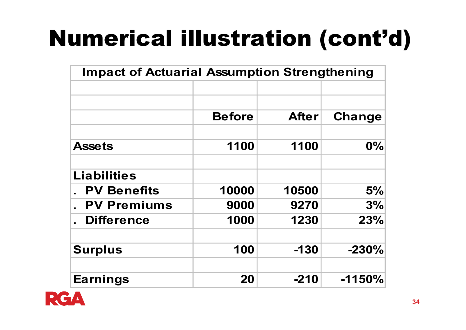## Numerical illustration (cont'd)

| <b>Impact of Actuarial Assumption Strengthening</b> |               |              |               |
|-----------------------------------------------------|---------------|--------------|---------------|
|                                                     | <b>Before</b> | <b>After</b> | <b>Change</b> |
|                                                     |               |              |               |
| <b>Assets</b>                                       | 1100          | 1100         | $0\%$         |
| <b>Liabilities</b>                                  |               |              |               |
| <b>PV Benefits</b>                                  | 10000         | 10500        | 5%            |
| <b>PV Premiums</b>                                  | 9000          | 9270         | 3%            |
| <b>Difference</b>                                   | 1000          | 1230         | 23%           |
| <b>Surplus</b>                                      | 100           | $-130$       | $-230%$       |
| <b>Earnings</b>                                     | 20            | $-210$       | $-1150%$      |

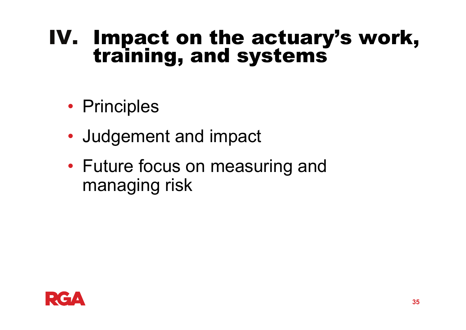## IV. Impact on the actuary's work,<br>training, and systems

- Principles
- Judgement and impact
- • Future focus on measuring and managing risk

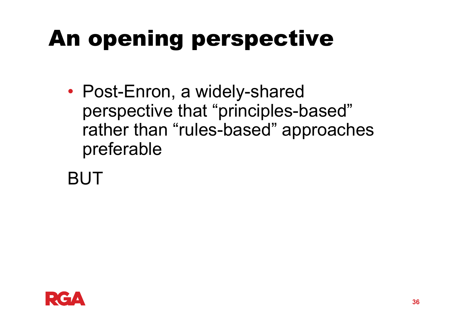## An opening perspective

• Post-Enron, a widely-shared perspective that "principles-based" rather than "rules-based" approaches preferable

BUT

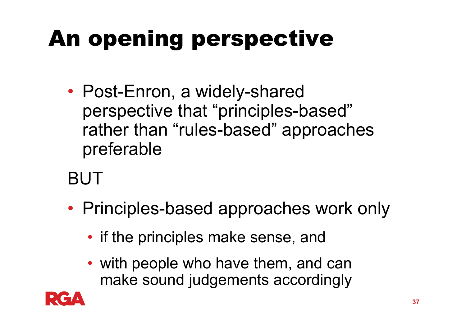## An opening perspective

• Post-Enron, a widely-shared perspective that "principles-based" rather than "rules-based" approaches preferable

### BUT

- Principles-based approaches work only
	- if the principles make sense, and
	- with people who have them, and can make sound judgements accordingly

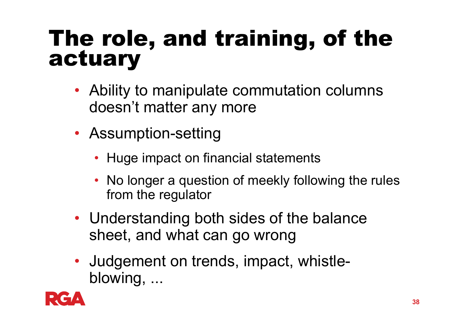# The role, and training, of the actuary

- Ability to manipulate commutation columns doesn't matter any more
- Assumption-setting
	- Huge impact on financial statements
	- No longer a question of meekly following the rules from the regulator
- Understanding both sides of the balance sheet, and what can go wrong
- Judgement on trends, impact, whistleblowing, ...

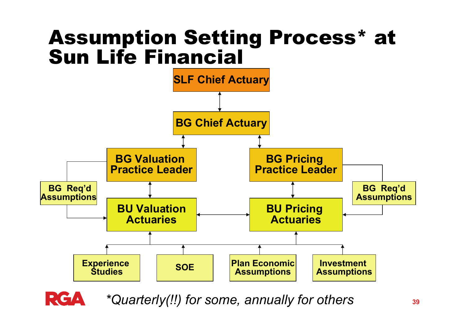### Assumption Setting Process\* at Sun Life Financial



*\*Quarterly(!!) for some, annually for others*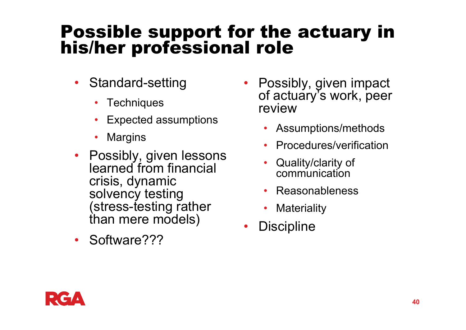## Possible support for the actuary in his/her professional role

- $\bullet$  Standard-setting
	- $\bullet$ **Techniques**
	- •Expected assumptions
	- $\bullet$ **Margins**
- Possibly, given lessons learned from financial crisis, dynamic solvency testing (stress-testing rather than mere models)
- $\bullet$ Software???
- • Possibly, given impact of actuary's work, peer review
	- Assumptions/methods
	- •Procedures/verification
	- • Quality/clarity of communication
	- •Reasonableness
	- •**Materiality**
- •**Discipline**

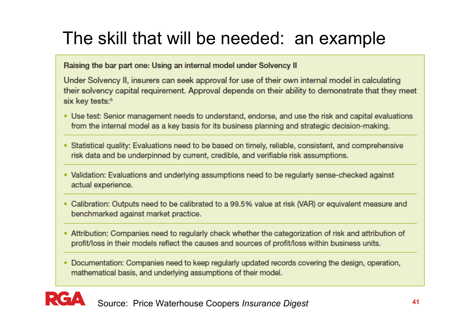### The skill that will be needed: an example

Raising the bar part one: Using an internal model under Solvency II

Under Solvency II, insurers can seek approval for use of their own internal model in calculating their solvency capital requirement. Approval depends on their ability to demonstrate that they meet six key tests:<sup>5</sup>

- Use test: Senior management needs to understand, endorse, and use the risk and capital evaluations from the internal model as a key basis for its business planning and strategic decision-making.
- Statistical quality: Evaluations need to be based on timely, reliable, consistent, and comprehensive risk data and be underpinned by current, credible, and verifiable risk assumptions.
- Validation: Evaluations and underlying assumptions need to be regularly sense-checked against actual experience.
- Calibration: Outputs need to be calibrated to a 99.5% value at risk (VAR) or equivalent measure and benchmarked against market practice.
- Attribution: Companies need to regularly check whether the categorization of risk and attribution of profit/loss in their models reflect the causes and sources of profit/loss within business units.
- Documentation: Companies need to keep regularly updated records covering the design, operation, mathematical basis, and underlying assumptions of their model.



Source: Price Waterhouse Coopers *Insurance Digest* 41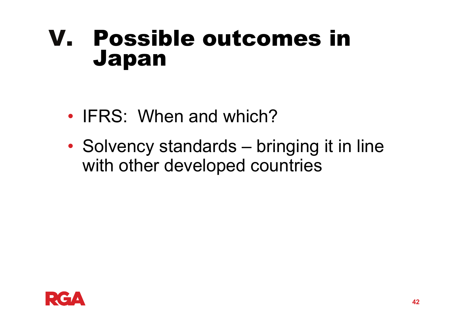### V. Possible outcomes in Japan

- IFRS: When and which?
- •• Solvency standards – bringing it in line with other developed countries

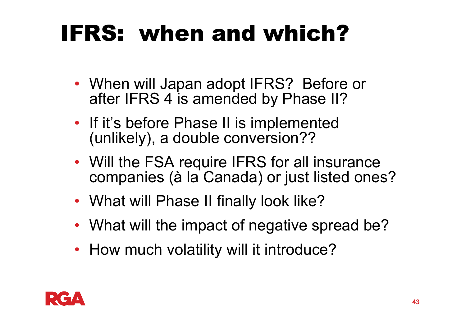## IFRS: when and which?

- When will Japan adopt IFRS? Before or after IFRS 4 is amended by Phase II?
- If it's before Phase II is implemented (unlikely), a double conversion??
- Will the FSA require IFRS for all insurance companies (à la Canada) or just listed ones?
- What will Phase II finally look like?
- What will the impact of negative spread be?
- How much volatility will it introduce?

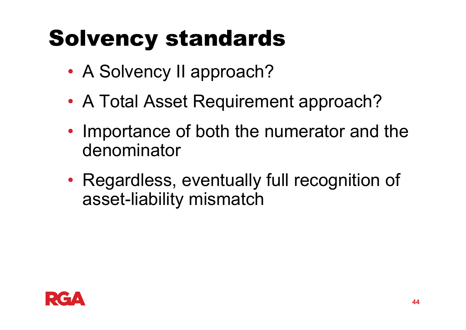## Solvency standards

- •A Solvency II approach?
- $\bullet$ A Total Asset Requirement approach?
- •• Importance of both the numerator and the denominator
- • Regardless, eventually full recognition of asset-liability mismatch

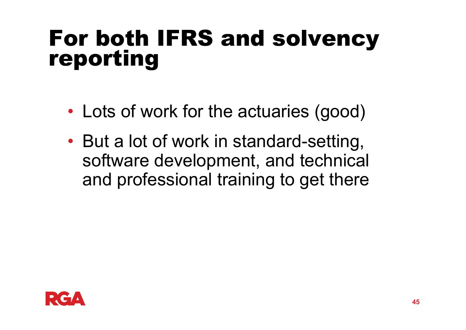# For both IFRS and solvency reporting

- •Lots of work for the actuaries (good)
- • But a lot of work in standard-setting, software development, and technical and professional training to get there